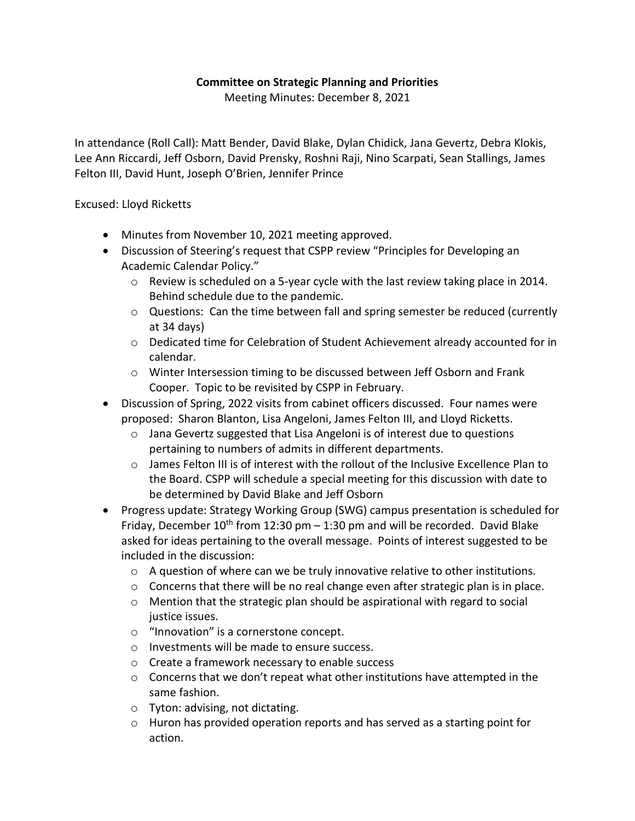## **Committee on Strategic Planning and Priorities**

Meeting Minutes: December 8, 2021

In attendance (Roll Call): Matt Bender, David Blake, Dylan Chidick, Jana Gevertz, Debra Klokis, Lee Ann Riccardi, Jeff Osborn, David Prensky, Roshni Raji, Nino Scarpati, Sean Stallings, James Felton III, David Hunt, Joseph O'Brien, Jennifer Prince

Excused: Lloyd Ricketts

- Minutes from November 10, 2021 meeting approved.
- Discussion of Steering's request that CSPP review "Principles for Developing an Academic Calendar Policy."
	- $\circ$  Review is scheduled on a 5-year cycle with the last review taking place in 2014. Behind schedule due to the pandemic.
	- $\circ$  Questions: Can the time between fall and spring semester be reduced (currently at 34 days)
	- o Dedicated time for Celebration of Student Achievement already accounted for in calendar.
	- o Winter Intersession timing to be discussed between Jeff Osborn and Frank Cooper. Topic to be revisited by CSPP in February.
- Discussion of Spring, 2022 visits from cabinet officers discussed. Four names were proposed: Sharon Blanton, Lisa Angeloni, James Felton III, and Lloyd Ricketts.
	- o Jana Gevertz suggested that Lisa Angeloni is of interest due to questions pertaining to numbers of admits in different departments.
	- o James Felton III is of interest with the rollout of the Inclusive Excellence Plan to the Board. CSPP will schedule a special meeting for this discussion with date to be determined by David Blake and Jeff Osborn
- Progress update: Strategy Working Group (SWG) campus presentation is scheduled for Friday, December  $10^{th}$  from 12:30 pm  $-$  1:30 pm and will be recorded. David Blake asked for ideas pertaining to the overall message. Points of interest suggested to be included in the discussion:
	- $\circ$  A question of where can we be truly innovative relative to other institutions.
	- $\circ$  Concerns that there will be no real change even after strategic plan is in place.
	- o Mention that the strategic plan should be aspirational with regard to social justice issues.
	- o "Innovation" is a cornerstone concept.
	- o Investments will be made to ensure success.
	- o Create a framework necessary to enable success
	- $\circ$  Concerns that we don't repeat what other institutions have attempted in the same fashion.
	- o Tyton: advising, not dictating.
	- $\circ$  Huron has provided operation reports and has served as a starting point for action.